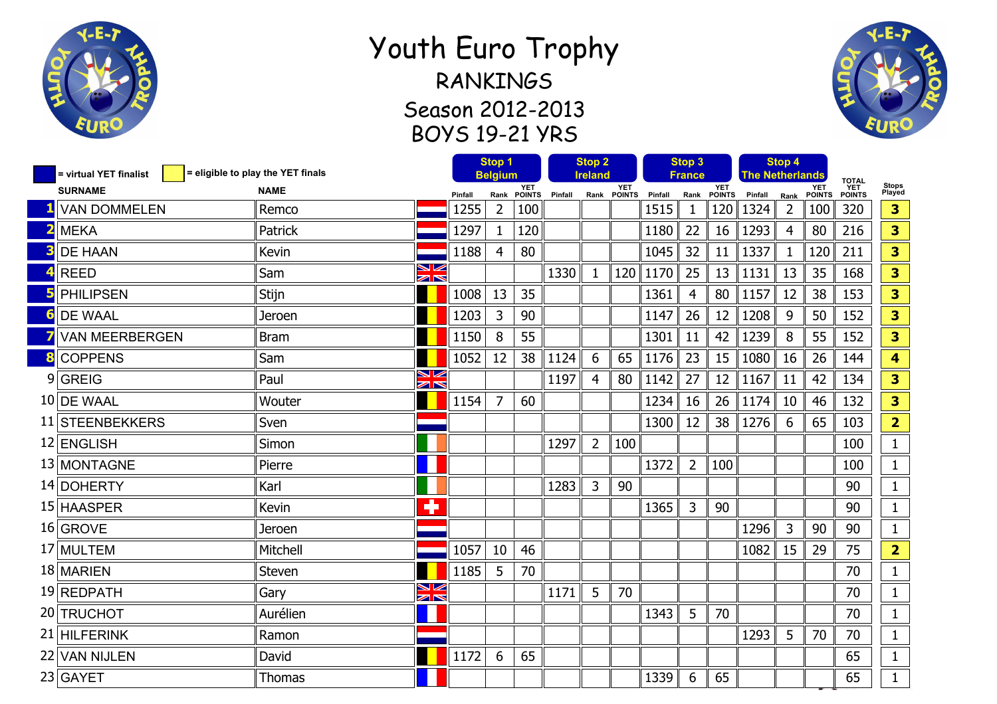

## Youth Euro Trophy RANKINGS Season 2012-2013 BOYS 19-21 YRS



| = virtual YET finalist | = eligible to play the YET finals |                                                  |         | Stop 1<br><b>Belgium</b> |               | <b>Stop 2</b><br><b>Ireland</b> |                |                    | Stop 3<br>France |                |               | Stop 4<br><b>The Netherlands</b> |                |                             |                                      |                         |
|------------------------|-----------------------------------|--------------------------------------------------|---------|--------------------------|---------------|---------------------------------|----------------|--------------------|------------------|----------------|---------------|----------------------------------|----------------|-----------------------------|--------------------------------------|-------------------------|
| <b>SURNAME</b>         | <b>NAME</b>                       |                                                  | Pinfall | Rank                     | YET<br>POINTS | Pinfall                         |                | YET<br>Rank POINTS | Pinfall          | Rank           | YET<br>POINTS | Pinfall                          | Rank           | <b>YET</b><br><b>POINTS</b> | <b>TOTAL</b><br><b>YET</b><br>POINTS | Stops<br>Played         |
| <b>VAN DOMMELEN</b>    | Remco                             |                                                  | 1255    | $\overline{2}$           | 100           |                                 |                |                    | 1515             | 1              | 120           | 1324                             | $\overline{2}$ | 100                         | 320                                  | 3                       |
| <b>MEKA</b>            | Patrick                           |                                                  | 1297    | $\mathbf{1}$             | 120           |                                 |                |                    | 1180             | 22             | 16            | 1293                             | 4              | 80                          | 216                                  | 3                       |
| <b>DE HAAN</b>         | Kevin                             |                                                  | 1188    | 4                        | 80            |                                 |                |                    | 1045             | 32             | 11            | 1337                             | $\mathbf{1}$   | 120                         | 211                                  | 3                       |
| <b>REED</b>            | Sam                               | ↘∠<br>O下                                         |         |                          |               | 1330                            | $\mathbf{1}$   | 120                | 1170             | 25             | 13            | 1131                             | 13             | 35                          | 168                                  | 3                       |
| <b>PHILIPSEN</b>       | Stijn                             |                                                  | 1008    | 13                       | 35            |                                 |                |                    | 1361             | 4              | 80            | 1157                             | 12             | 38                          | 153                                  | 3                       |
| <b>DE WAAL</b>         | Jeroen                            |                                                  | 1203    | 3                        | 90            |                                 |                |                    | 1147             | 26             | 12            | 1208                             | 9              | 50                          | 152                                  | 3                       |
| <b>VAN MEERBERGEN</b>  | <b>Bram</b>                       |                                                  | 1150    | 8                        | 55            |                                 |                |                    | 1301             | 11             | 42            | 1239                             | 8              | 55                          | 152                                  | 3                       |
| <b>COPPENS</b>         | Sam                               |                                                  | 1052    | 12                       | 38            | 1124                            | 6              | 65                 | 1176             | 23             | 15            | 1080                             | 16             | 26                          | 144                                  | 4                       |
| $9$ GREIG              | Paul                              | ↘∠<br>$\geq$                                     |         |                          |               | 1197                            | $\overline{4}$ | 80                 | 1142             | 27             | 12            | 1167                             | 11             | 42                          | 134                                  | 3                       |
| 10 DE WAAL             | Wouter                            |                                                  | 1154    | $\overline{7}$           | 60            |                                 |                |                    | 1234             | 16             | 26            | 1174                             | 10             | 46                          | 132                                  | 3                       |
| 11 STEENBEKKERS        | Sven                              |                                                  |         |                          |               |                                 |                |                    | 1300             | 12             | 38            | 1276                             | 6              | 65                          | 103                                  | $\overline{2}$          |
| 12 ENGLISH             | Simon                             |                                                  |         |                          |               | 1297                            | $\overline{2}$ | 100                |                  |                |               |                                  |                |                             | 100                                  | $\mathbf{1}$            |
| 13 MONTAGNE            | Pierre                            |                                                  |         |                          |               |                                 |                |                    | 1372             | $\overline{2}$ | 100           |                                  |                |                             | 100                                  | $\mathbf{1}$            |
| 14 DOHERTY             | Karl                              |                                                  |         |                          |               | 1283                            | 3              | 90                 |                  |                |               |                                  |                |                             | 90                                   | $\mathbf{1}$            |
| 15 HAASPER             | Kevin                             | ٠                                                |         |                          |               |                                 |                |                    | 1365             | 3              | 90            |                                  |                |                             | 90                                   | $\mathbf 1$             |
| 16 GROVE               | Jeroen                            |                                                  |         |                          |               |                                 |                |                    |                  |                |               | 1296                             | 3              | 90                          | 90                                   | $\mathbf{1}$            |
| 17 MULTEM              | Mitchell                          |                                                  | 1057    | 10                       | 46            |                                 |                |                    |                  |                |               | 1082                             | 15             | 29                          | 75                                   | $\overline{\mathbf{2}}$ |
| 18 MARIEN              | Steven                            |                                                  | 1185    | 5                        | 70            |                                 |                |                    |                  |                |               |                                  |                |                             | 70                                   | $\mathbf{1}$            |
| 19 REDPATH             | Gary                              | $\blacktriangleright$<br>$\mathbb{Z} \mathbb{N}$ |         |                          |               | 1171                            | 5              | 70                 |                  |                |               |                                  |                |                             | 70                                   | $\mathbf 1$             |
| 20 TRUCHOT             | Aurélien                          |                                                  |         |                          |               |                                 |                |                    | 1343             | 5              | 70            |                                  |                |                             | 70                                   | $\mathbf{1}$            |
| 21 HILFERINK           | Ramon                             |                                                  |         |                          |               |                                 |                |                    |                  |                |               | 1293                             | 5              | 70                          | 70                                   | $\mathbf{1}$            |
| 22 VAN NIJLEN          | David                             |                                                  | 1172    | 6                        | 65            |                                 |                |                    |                  |                |               |                                  |                |                             | 65                                   | $\mathbf{1}$            |
| $23$ GAYET             | Thomas                            |                                                  |         |                          |               |                                 |                |                    | 1339             | 6              | 65            |                                  |                |                             | 65                                   | $\mathbf{1}$            |